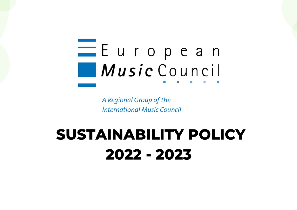

A Regional Group of the **International Music Council** 

# **SUSTAINABILITY POLICY** 2022 - 2023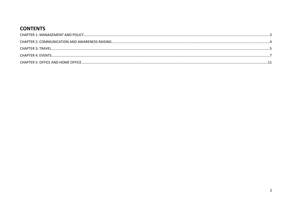#### **CONTENTS**

| CHAPTER 4: EVENTS. |  |
|--------------------|--|
|                    |  |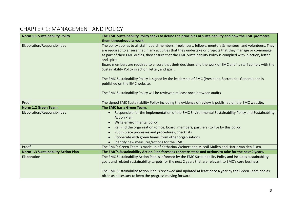## CHAPTER 1: MANAGEMENT AND POLICY

| <b>Norm 1.1 Sustainability Policy</b>      | The EMC Sustainability Policy seeks to define the principles of sustainability and how the EMC promotes                                                                                                                                                                                                                                                       |
|--------------------------------------------|---------------------------------------------------------------------------------------------------------------------------------------------------------------------------------------------------------------------------------------------------------------------------------------------------------------------------------------------------------------|
|                                            | them throughout its work.                                                                                                                                                                                                                                                                                                                                     |
| Elaboration/Responsibilities               | The policy applies to all staff, board members, freelancers, fellows, mentors & mentees, and volunteers. They<br>are required to ensure that in any activities that they undertake or projects that they manage or co-manage<br>as part of their EMC duties, they ensure that the EMC Sustainability Policy is complied with in action, letter<br>and spirit. |
|                                            | Board members are required to ensure that their decisions and the work of EMC and its staff comply with the<br>Sustainability Policy in action, letter, and spirit.                                                                                                                                                                                           |
|                                            | The EMC Sustainability Policy is signed by the leadership of EMC (President, Secretaries General) and is<br>published on the EMC website.                                                                                                                                                                                                                     |
|                                            | The EMC Sustainability Policy will be reviewed at least once between audits.                                                                                                                                                                                                                                                                                  |
| Proof                                      | The signed EMC Sustainability Policy including the evidence of review is published on the EMC website.                                                                                                                                                                                                                                                        |
| <b>Norm 1.2 Green Team</b>                 | The EMC has a Green Team.                                                                                                                                                                                                                                                                                                                                     |
|                                            |                                                                                                                                                                                                                                                                                                                                                               |
| Elaboration/Responsibilities               | Responsible for the implementation of the EMC Environmental Sustainability Policy and Sustainability<br><b>Action Plan</b>                                                                                                                                                                                                                                    |
|                                            | Write environmental policy<br>$\bullet$                                                                                                                                                                                                                                                                                                                       |
|                                            | Remind the organisation (office, board, members, partners) to live by this policy                                                                                                                                                                                                                                                                             |
|                                            | Put in place processes and procedures, checklists                                                                                                                                                                                                                                                                                                             |
|                                            | Cooperate with green teams from other organisations                                                                                                                                                                                                                                                                                                           |
|                                            | Identify new measures/actions for the EMC                                                                                                                                                                                                                                                                                                                     |
| Proof                                      | The EMC's Green Team is made up of Katharina Weinert and Miceál Mullen and Harrie van den Elsen.                                                                                                                                                                                                                                                              |
| <b>Norm 1.3 Sustainability Action Plan</b> | The EMC's Sustainability Action Plan foresees concrete steps and actions to take for the next 2 years.                                                                                                                                                                                                                                                        |
| Elaboration                                | The EMC Sustainability Action Plan is informed by the EMC Sustainability Policy and includes sustainability                                                                                                                                                                                                                                                   |
|                                            | goals and related sustainability targets for the next 2 years that are relevant to EMC's core business.                                                                                                                                                                                                                                                       |
|                                            | The EMC Sustainability Action Plan is reviewed and updated at least once a year by the Green Team and as                                                                                                                                                                                                                                                      |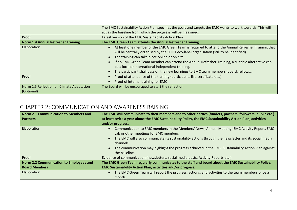|                                                         | The EMC Sustainability Action Plan specifies the goals and targets the EMC wants to work towards. This will                                                                                                                                                                                                                                                                                                                                                                                      |
|---------------------------------------------------------|--------------------------------------------------------------------------------------------------------------------------------------------------------------------------------------------------------------------------------------------------------------------------------------------------------------------------------------------------------------------------------------------------------------------------------------------------------------------------------------------------|
|                                                         | act as the baseline from which the progress will be measured.                                                                                                                                                                                                                                                                                                                                                                                                                                    |
| Proof                                                   | Latest version of the EMC Sustainability Action Plan                                                                                                                                                                                                                                                                                                                                                                                                                                             |
| <b>Norm 1.4 Annual Refresher Training</b>               | The EMC Green Team attends the Annual Refresher Training.                                                                                                                                                                                                                                                                                                                                                                                                                                        |
| Elaboration                                             | At least one member of the EMC Green Team is required to attend the Annual Refresher Training that<br>will be centrally organised by the SHIFT eco-label organisation (still to be identified)<br>The training can take place online or on-site.<br>If no EMC Green Team member can attend the Annual Refresher Training, a suitable alternative can<br>be a local or international independent training.<br>The participant shall pass on the new learnings to EMC team members, board, fellows |
| Proof                                                   | Proof of attendance of the training (participants list, certificate etc.)<br>Proof of internal training for EMC                                                                                                                                                                                                                                                                                                                                                                                  |
| Norm 1.5 Reflection on Climate Adaptation<br>(Optional) | The Board will be encouraged to start the reflection                                                                                                                                                                                                                                                                                                                                                                                                                                             |

## CHAPTER 2: COMMUNICATION AND AWARENESS RAISING

| <b>Norm 2.1 Communication to Members and</b><br><b>Partners</b> | The EMC will communicate to their members and to other parties (funders, partners, followers, public etc.)<br>at least twice a year about the EMC Sustainability Policy, the EMC Sustainability Action Plan, activities<br>and/or progress. |
|-----------------------------------------------------------------|---------------------------------------------------------------------------------------------------------------------------------------------------------------------------------------------------------------------------------------------|
| Elaboration                                                     | Communication to EMC members in the Members' News, Annual Meeting, EMC Activity Report, EMC<br>Lab or other meetings for EMC members                                                                                                        |
|                                                                 | The EMC will also communicate its sustainability actions through the newsletter and its social media<br>channels.                                                                                                                           |
|                                                                 | The communication may highlight the progress achieved in the EMC Sustainability Action Plan against<br>the baseline.                                                                                                                        |
| Proof                                                           | Evidence of communication (newsletters, social media posts, Activity Reports etc.)                                                                                                                                                          |
| <b>Norm 2.2 Communication to Employees and</b>                  | The EMC Green Team regularly communicates to the staff and board about the EMC Sustainability Policy,                                                                                                                                       |
| <b>Board Members</b>                                            | <b>EMC Sustainability Action Plan, activities and/or progress.</b>                                                                                                                                                                          |
| Elaboration                                                     | The EMC Green Team will report the progress, actions, and activities to the team members once a<br>month.                                                                                                                                   |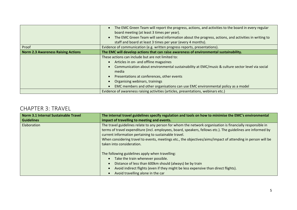|                                           | The EMC Green Team will report the progress, actions, and activities to the board in every regular<br>board meeting (at least 3 times per year).<br>The EMC Green Team will send information about the progress, actions, and activities in writing to<br>staff and board at least 3 times per year (every 4 months).                                                     |
|-------------------------------------------|---------------------------------------------------------------------------------------------------------------------------------------------------------------------------------------------------------------------------------------------------------------------------------------------------------------------------------------------------------------------------|
| Proof                                     | Evidence of communication (e.g. written progress reports, presentations).                                                                                                                                                                                                                                                                                                 |
| <b>Norm 2.3 Awareness Raising Actions</b> | The EMC will develop actions that can raise awareness of environmental sustainability.                                                                                                                                                                                                                                                                                    |
|                                           | These actions can include but are not limited to:<br>Articles in on- and offline magazines<br>Communication about environmental sustainability at EMC/music & culture sector level via social<br>media<br>Presentations at conferences, other events<br>Organising webinars, trainings<br>EMC members and other organisations can use EMC environmental policy as a model |
|                                           | Evidence of awareness raising activities (articles, presentations, webinars etc.)                                                                                                                                                                                                                                                                                         |

#### CHAPTER 3: TRAVEL

| Norm 3.1 Internal Sustainable Travel | The internal travel guidelines specify regulation and tools on how to minimise the EMC's environmental                                                                                                                                                                                                                                                                                                                          |
|--------------------------------------|---------------------------------------------------------------------------------------------------------------------------------------------------------------------------------------------------------------------------------------------------------------------------------------------------------------------------------------------------------------------------------------------------------------------------------|
| <b>Guidelines</b>                    | impact of travelling to meeting and events.                                                                                                                                                                                                                                                                                                                                                                                     |
| Elaboration                          | The travel guidelines relate to any person for whom the network organisation is financially responsible in<br>terms of travel expenditure (incl. employees, board, speakers, fellows etc.). The guidelines are informed by<br>current information pertaining to sustainable travel.<br>When considering travel to events, meetings etc., the objectives/aims/impact of attending in person will be<br>taken into consideration. |
|                                      | The following guidelines apply when travelling:<br>Take the train whenever possible.<br>Distance of less than 600km should (always) be by train<br>Avoid indirect flights (even if they might be less expensive than direct flights).<br>Avoid travelling alone in the car                                                                                                                                                      |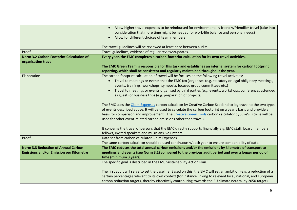|                                                                 | Allow higher travel expenses to be reimbursed for environmentally friendly/friendlier travel (take into<br>consideration that more time might be needed for work-life balance and personal needs)                            |
|-----------------------------------------------------------------|------------------------------------------------------------------------------------------------------------------------------------------------------------------------------------------------------------------------------|
|                                                                 | Allow for different choices of team members                                                                                                                                                                                  |
|                                                                 | The travel guidelines will be reviewed at least once between audits.                                                                                                                                                         |
| Proof                                                           | Travel guidelines, evidence of regular reviews/updates.                                                                                                                                                                      |
| Norm 3.2 Carbon Footprint Calculation of<br>organisation travel | Every year, the EMC completes a carbon-footprint calculation for its own travel activities.                                                                                                                                  |
|                                                                 | The EMC Green Team is responsible for this task and establishes an internal system for carbon footprint                                                                                                                      |
|                                                                 | reporting, which shall be consistent and regularly maintained throughout the year.                                                                                                                                           |
| Elaboration                                                     | The carbon footprint calculation of travel will be focuses on the following travel activities:                                                                                                                               |
|                                                                 | • Travel to meetings or events that the EMC (co-)organises (e.g. statutory or legal obligatory meetings,                                                                                                                     |
|                                                                 | events, trainings, workshops, symposia, focused group committees etc.)                                                                                                                                                       |
|                                                                 | Travel to meetings or events organised by third parties (e.g. events, workshops, conferences attended                                                                                                                        |
|                                                                 | as guest) or business trips (e.g. preparation of projects)                                                                                                                                                                   |
|                                                                 |                                                                                                                                                                                                                              |
|                                                                 | The EMC uses the Claim Expenses carbon calculator by Creative Carbon Scotland to log travel to the two types<br>of events described above. It will be used to calculate the carbon footprint on a yearly basis and provide a |
|                                                                 | basis for comparison and improvement. (The Creative Green Tools carbon calculator by Julie's Bicycle will be                                                                                                                 |
|                                                                 | used for other event-related carbon emissions other than travel).                                                                                                                                                            |
|                                                                 |                                                                                                                                                                                                                              |
|                                                                 | It concerns the travel of persons that the EMC directly supports financially e.g. EMC staff, board members,                                                                                                                  |
|                                                                 | fellows, invited speakers and musicians, volunteers                                                                                                                                                                          |
| Proof                                                           | Data set from carbon calculator Claim Expenses.                                                                                                                                                                              |
|                                                                 | The same carbon calculator should be used continuously/each year to ensure comparability of data.                                                                                                                            |
| <b>Norm 3.3 Reduction of Annual Carbon</b>                      | The EMC reduces the total annual carbon emissions and/or the emissions by kilometre of transport to                                                                                                                          |
| <b>Emissions and/or Emission per Kilometre</b>                  | meetings and events (see Norm 3.2) compared to the previous audit period and over a longer period of                                                                                                                         |
|                                                                 | time (minimum 3 years).                                                                                                                                                                                                      |
|                                                                 | The specific goal is described in the EMC Sustainability Action Plan.                                                                                                                                                        |
|                                                                 |                                                                                                                                                                                                                              |
|                                                                 | The first audit will serve to set the baseline. Based on this, the EMC will set an ambition (e.g. a reduction of a                                                                                                           |
|                                                                 | certain percentage) relevant to its own context (for instance linking to relevant local, national, and European                                                                                                              |
|                                                                 | carbon reduction targets, thereby effectively contributing towards the EU climate neutral by 2050 target).                                                                                                                   |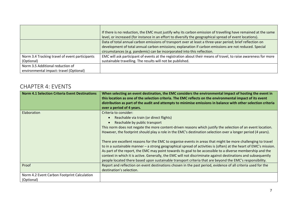|                                                | If there is no reduction, the EMC must justify why its carbon emission of travelling have remained at the same<br>level, or increased (for instance in an effort to diversify the geographical spread of event locations). |
|------------------------------------------------|----------------------------------------------------------------------------------------------------------------------------------------------------------------------------------------------------------------------------|
|                                                | Data of total annual carbon emissions of transport over at least a three-year period; brief reflection on<br>development of total annual carbon emissions; explanation if carbon emissions are not reduced. Special        |
|                                                | circumstances (e.g. pandemic) can be incorporated into this reflection.                                                                                                                                                    |
| Norm 3.4 Tracking travel of event participants | EMC will ask participant of events at the registration about their means of travel, to raise awareness for more                                                                                                            |
| (Optional)                                     | sustainable travelling. The results will not be published.                                                                                                                                                                 |
| Norm 3.5 Additional reduction of               |                                                                                                                                                                                                                            |
| environmental impact: travel (Optional)        |                                                                                                                                                                                                                            |

# CHAPTER 4: EVENTS

| <b>Norm 4.1 Selection Criteria Event Destinations</b>     | When selecting an event destination, the EMC considers the environmental impact of hosting the event in<br>this location as one of the selection criteria. The EMC reflects on the environmental impact of its event<br>distribution as part of the audit and attempts to minimise emissions in balance with other selection criteria<br>over a period of 4 years.                                                                                                                                                                                                    |
|-----------------------------------------------------------|-----------------------------------------------------------------------------------------------------------------------------------------------------------------------------------------------------------------------------------------------------------------------------------------------------------------------------------------------------------------------------------------------------------------------------------------------------------------------------------------------------------------------------------------------------------------------|
| Elaboration                                               | Criteria to consider:<br>Reachable via train (or direct flights)<br>Reachable by public transport<br>This norm does not negate the more content-driven reasons which justify the selection of an event location.<br>However, the footprint should play a role in the EMC's destination selection over a longer period (4 years).<br>There are excellent reasons for the EMC to organise events in areas that might be more challenging to travel<br>to in a sustainable manner - a strong geographical spread of activities is (often) at the heart of EMC's mission. |
|                                                           | As part of the report, the EMC may point towards its goal to be accessible to a diverse membership and the<br>context in which it is active. Generally, the EMC will not discriminate against destinations and subsequently<br>people located there based upon sustainable transport criteria that are beyond the EMC's responsibility.                                                                                                                                                                                                                               |
| Proof                                                     | Report and reflection on event destinations chosen in the past period, evidence of all criteria used for the<br>destination's selection.                                                                                                                                                                                                                                                                                                                                                                                                                              |
| Norm 4.2 Event Carbon Footprint Calculation<br>(Optional) |                                                                                                                                                                                                                                                                                                                                                                                                                                                                                                                                                                       |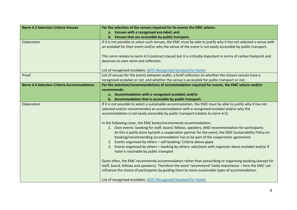| <b>Norm 4.3 Selection Criteria Venues</b>         | For the selection of the venues required for its events the EMC selects:                                          |
|---------------------------------------------------|-------------------------------------------------------------------------------------------------------------------|
|                                                   | a. Venues with a recognised eco-label; and                                                                        |
|                                                   | b. Venues that are accessible by public transport.                                                                |
| Elaboration                                       | If it is not possible to select such venues, the EMC must be able to justify why it has not selected a venue with |
|                                                   | an ecolabel for their event and/or why the venue of the event is not easily accessible by public transport.       |
|                                                   |                                                                                                                   |
|                                                   | This norm relates to norm 4.5 (contract clause) but it is critically important in terms of carbon footprint and   |
|                                                   | deserves its own norm and reflection.                                                                             |
|                                                   |                                                                                                                   |
|                                                   | List of recognised ecolabels: GSTC-Recognised Standard for Hotels                                                 |
| Proof                                             | List of venues for the events between audits, a brief reflection on whether the chosen venues have a              |
|                                                   | recognised ecolabel or not, and whether the venue is accessible for public transport or not.                      |
| <b>Norm 4.4 Selection Criteria Accommodations</b> | For the selection/recommendations of accommodation required for events, the EMC selects and/or                    |
|                                                   | recommends:                                                                                                       |
|                                                   | a. Accommodation with a recognised ecolabel; and/or                                                               |
|                                                   | b. Accommodation that is accessible by public transport.                                                          |
| Elaboration                                       | If it is not possible to select a sustainable accommodation, the EMC must be able to justify why it has not       |
|                                                   | selected and/or recommended an accommodation with a recognised ecolabel and/or why the                            |
|                                                   | accommodation is not easily accessible by public transport (relates to norm 4.5).                                 |
|                                                   | In the following cases, the EMC books/recommends accommodation:                                                   |
|                                                   | 1. Own events: booking for staff, board, fellows, speakers, AND recommendation for participants                   |
|                                                   | As this is partly done by/with a cooperation partner for the event, the EMC Sustainability Policy on              |
|                                                   | booking/recommending accommodation has to be part of the cooperation agreement.                                   |
|                                                   | 2. Events organised by others - self booking: Criteria above apply                                                |
|                                                   | Events organised by others - booking by others: ask/check with organiser about ecolabel and/or if<br>3.           |
|                                                   | hotel is reachable by public transport                                                                            |
|                                                   |                                                                                                                   |
|                                                   | Quite often, the EMC recommends accommodation rather than prescribing or organising booking (except for           |
|                                                   | staff, board, fellows and speakers). Therefore the word 'recommend' holds importance - here the EMC can           |
|                                                   | influence the choice of participants by guiding them to more sustainable types of accommodation.                  |
|                                                   |                                                                                                                   |
|                                                   | List of recognised ecolabels: GSTC-Recognised Standard for Hotels                                                 |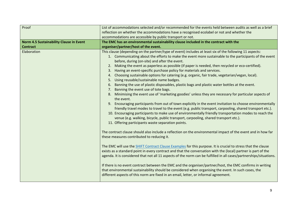| Proof                                   | List of accommodations selected and/or recommended for the events held between audits as well as a brief                                                                                                                                                                                                                                                                                                                                                                                                                                                                                                                                                                                                                                                                                                                                                                                                                                                                                                                                                                                                                                                                                                                                                                                                                                                                                                                                                                                                                                                                                                                                                                                                                                                                                                                                                                                                                                                                                                                                                                                                                                                                                               |
|-----------------------------------------|--------------------------------------------------------------------------------------------------------------------------------------------------------------------------------------------------------------------------------------------------------------------------------------------------------------------------------------------------------------------------------------------------------------------------------------------------------------------------------------------------------------------------------------------------------------------------------------------------------------------------------------------------------------------------------------------------------------------------------------------------------------------------------------------------------------------------------------------------------------------------------------------------------------------------------------------------------------------------------------------------------------------------------------------------------------------------------------------------------------------------------------------------------------------------------------------------------------------------------------------------------------------------------------------------------------------------------------------------------------------------------------------------------------------------------------------------------------------------------------------------------------------------------------------------------------------------------------------------------------------------------------------------------------------------------------------------------------------------------------------------------------------------------------------------------------------------------------------------------------------------------------------------------------------------------------------------------------------------------------------------------------------------------------------------------------------------------------------------------------------------------------------------------------------------------------------------------|
|                                         | reflection on whether the accommodations have a recognised ecolabel or not and whether the                                                                                                                                                                                                                                                                                                                                                                                                                                                                                                                                                                                                                                                                                                                                                                                                                                                                                                                                                                                                                                                                                                                                                                                                                                                                                                                                                                                                                                                                                                                                                                                                                                                                                                                                                                                                                                                                                                                                                                                                                                                                                                             |
|                                         | accommodations are accessible by public transport or not.                                                                                                                                                                                                                                                                                                                                                                                                                                                                                                                                                                                                                                                                                                                                                                                                                                                                                                                                                                                                                                                                                                                                                                                                                                                                                                                                                                                                                                                                                                                                                                                                                                                                                                                                                                                                                                                                                                                                                                                                                                                                                                                                              |
| Norm 4.5 Sustainability Clause in Event | The EMC has an environmental sustainability clause included in the contract with the                                                                                                                                                                                                                                                                                                                                                                                                                                                                                                                                                                                                                                                                                                                                                                                                                                                                                                                                                                                                                                                                                                                                                                                                                                                                                                                                                                                                                                                                                                                                                                                                                                                                                                                                                                                                                                                                                                                                                                                                                                                                                                                   |
| <b>Contract</b>                         | organiser/partner/host of the event.                                                                                                                                                                                                                                                                                                                                                                                                                                                                                                                                                                                                                                                                                                                                                                                                                                                                                                                                                                                                                                                                                                                                                                                                                                                                                                                                                                                                                                                                                                                                                                                                                                                                                                                                                                                                                                                                                                                                                                                                                                                                                                                                                                   |
| Elaboration                             | This clause (depending on the partner/type of event) includes at least six of the following 11 aspects:<br>1. Communicating about the efforts to make the event more sustainable to the participants of the event<br>before, during (on-site) and after the event.<br>2. Making the event as paperless as possible (if paper is needed, then recycled or eco-certified).<br>Having an event-specific purchase policy for materials and services.<br>Choosing sustainable options for catering (e.g. organic, fair trade, vegetarian/vegan, local).<br>4.<br>Using reusable/sustainable name badges.<br>5.<br>6. Banning the use of plastic disposables, plastic bags and plastic water bottles at the event.<br>Banning the event use of tote bags.<br>7.<br>8. Minimising the event use of 'marketing goodies' unless they are necessary for particular aspects of<br>the event.<br>9. Encouraging participants from out of town explicitly in the event invitation to choose environmentally<br>friendly travel modes to travel to the event (e.g. public transport, carpooling, shared transport etc.).<br>10. Encouraging participants to make use of environmentally friendly transportation modes to reach the<br>venue (e.g. walking, bicycle, public transport, carpooling, shared transport etc.).<br>11. Offering participants waste separation points.<br>The contract clause should also include a reflection on the environmental impact of the event and in how far<br>these measures contributed to reducing it.<br>The EMC will use the SHIFT Contract Clause Examples for this purpose. It is crucial to stress that the clause<br>exists as a standard point in every contract and that the conversation with the (local) partner is part of the<br>agenda. It is considered that not all 11 aspects of the norm can be fulfilled in all cases/partnerships/situations.<br>If there is no event contract between the EMC and the organiser/partner/host, the EMC confirms in writing<br>that environmental sustainability should be considered when organising the event. In such cases, the<br>different aspects of this norm are fixed in an email, letter, or informal agreement. |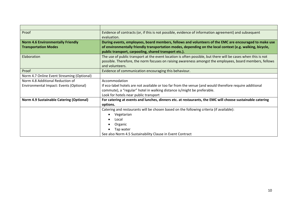| Proof                                           | Evidence of contracts (or, if this is not possible, evidence of information agreement) and subsequent         |
|-------------------------------------------------|---------------------------------------------------------------------------------------------------------------|
|                                                 | evaluation.                                                                                                   |
| <b>Norm 4.6 Environmentally Friendly</b>        | During events, employees, board members, fellows and volunteers of the EMC are encouraged to make use         |
| <b>Transportation Modes</b>                     | of environmentally friendly transportation modes, depending on the local context (e.g. walking, bicycle,      |
|                                                 | public transport, carpooling, shared transport etc.).                                                         |
| Elaboration                                     | The use of public transport at the event location is often possible, but there will be cases when this is not |
|                                                 | possible. Therefore, the norm focuses on raising awareness amongst the employees, board members, fellows      |
|                                                 | and volunteers.                                                                                               |
| Proof                                           | Evidence of communication encouraging this behaviour.                                                         |
| Norm 4.7 Online Event Streaming (Optional)      |                                                                                                               |
| Norm 4.8 Additional Reduction of                | Accommodation                                                                                                 |
| Environmental Impact: Events (Optional)         | If eco-label hotels are not available or too far from the venue (and would therefore require additional       |
|                                                 | commute), a "regular" hotel in walking distance is/might be preferable.                                       |
|                                                 | Look for hotels near public transport                                                                         |
| <b>Norm 4.9 Sustainable Catering (Optional)</b> | For catering at events and lunches, dinners etc. at restaurants, the EMC will choose sustainable catering     |
|                                                 | options.                                                                                                      |
|                                                 | Catering and restaurants will be chosen based on the following criteria (if available):                       |
|                                                 | Vegetarian                                                                                                    |
|                                                 | Local                                                                                                         |
|                                                 | Organic                                                                                                       |
|                                                 | Tap water                                                                                                     |
|                                                 | See also Norm 4.5 Sustainability Clause in Event Contract                                                     |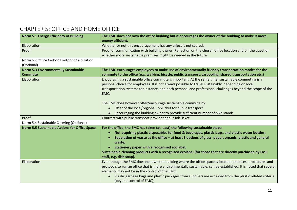# CHAPTER 5: OFFICE AND HOME OFFICE

| <b>Norm 5.1 Energy Efficiency of Building</b>        | The EMC does not own the office building but it encourages the owner of the building to make it more              |
|------------------------------------------------------|-------------------------------------------------------------------------------------------------------------------|
|                                                      | energy efficient.                                                                                                 |
| Elaboration                                          | Whether or not this encouragement has any effect is not scored.                                                   |
| Proof                                                | Proof of communication with building owner. Reflection on the chosen office location and on the question          |
|                                                      | whether more sustainable premises might be needed in the future.                                                  |
| Norm 5.2 Office Carbon Footprint Calculation         |                                                                                                                   |
| (Optional)                                           |                                                                                                                   |
| <b>Norm 5.3 Environmentally Sustainable</b>          | The EMC encourages employees to make use of environmentally friendly transportation modes for the                 |
| <b>Commute</b>                                       | commute to the office (e.g. walking, bicycle, public transport, carpooling, shared transportation etc.)           |
| Elaboration                                          | Encouraging a sustainable office commute is important. At the same time, sustainable commuting is a               |
|                                                      | personal choice for employees. It is not always possible to travel sustainably, depending on local                |
|                                                      | transportation systems for instance, and both personal and professional challenges beyond the scope of the        |
|                                                      | EMC.                                                                                                              |
|                                                      |                                                                                                                   |
|                                                      | The EMC does however offer/encourage sustainable commute by:                                                      |
|                                                      | Offer of the local/regional JobTicket for public transport                                                        |
|                                                      | Encouraging the building owner to provide sufficient number of bike stands                                        |
| Proof                                                | Contract with public transport provider about JobTicket                                                           |
| Norm 5.4 Sustainable Catering (Optional)             |                                                                                                                   |
| <b>Norm 5.5 Sustainable Actions for Office Space</b> | For the office, the EMC has taken (at least) the following sustainable steps:                                     |
|                                                      | Not acquiring plastic disposables for food & beverages, plastic bags, and plastic water bottles;                  |
|                                                      | Separation of waste at the office - at least 3 options of glass, paper, organic, plastic and general              |
|                                                      | waste;                                                                                                            |
|                                                      | Stationery paper with a recognised ecolabel;                                                                      |
|                                                      | Sustainable cleaning products with a recognised ecolabel (for those that are directly purchased by EMC            |
|                                                      | staff, e.g. dish soap).                                                                                           |
| Elaboration                                          | Even though the EMC does not own the building where the office space is located, practices, procedures and        |
|                                                      | protocols to run an office that is more environmentally sustainable, can be established. It is noted that several |
|                                                      | elements may not be in the control of the EMC:                                                                    |
|                                                      | Plastic garbage bags and plastic packages from suppliers are excluded from the plastic related criteria           |
|                                                      | (beyond control of EMC);                                                                                          |